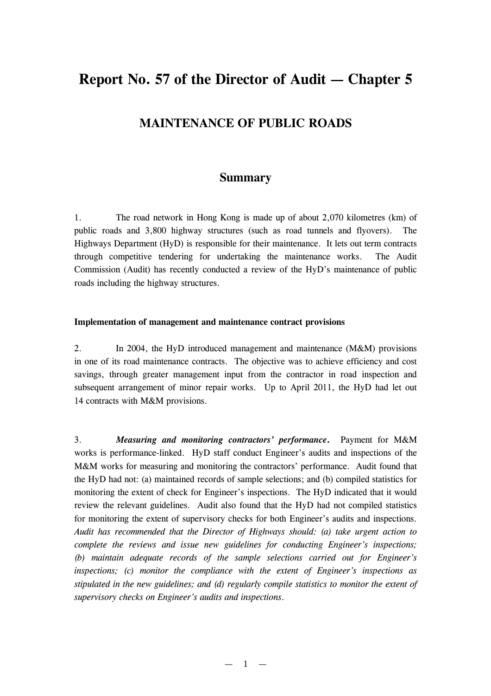# **Report No. 57 of the Director of Audit — Chapter 5**

# **MAINTENANCE OF PUBLIC ROADS**

# **Summary**

1. The road network in Hong Kong is made up of about 2,070 kilometres (km) of public roads and 3,800 highway structures (such as road tunnels and flyovers). The Highways Department (HyD) is responsible for their maintenance. It lets out term contracts through competitive tendering for undertaking the maintenance works. The Audit Commission (Audit) has recently conducted a review of the HyD's maintenance of public roads including the highway structures.

### **Implementation of management and maintenance contract provisions**

2. In 2004, the HyD introduced management and maintenance (M&M) provisions in one of its road maintenance contracts. The objective was to achieve efficiency and cost savings, through greater management input from the contractor in road inspection and subsequent arrangement of minor repair works. Up to April 2011, the HyD had let out 14 contracts with M&M provisions.

3. *Measuring and monitoring contractors' performance***.** Payment for M&M works is performance-linked. HyD staff conduct Engineer's audits and inspections of the M&M works for measuring and monitoring the contractors' performance. Audit found that the HyD had not: (a) maintained records of sample selections; and (b) compiled statistics for monitoring the extent of check for Engineer's inspections. The HyD indicated that it would review the relevant guidelines. Audit also found that the HyD had not compiled statistics for monitoring the extent of supervisory checks for both Engineer's audits and inspections. *Audit has recommended that the Director of Highways should: (a) take urgent action to complete the reviews and issue new guidelines for conducting Engineer's inspections; (b) maintain adequate records of the sample selections carried out for Engineer's inspections; (c) monitor the compliance with the extent of Engineer's inspections as stipulated in the new guidelines; and (d) regularly compile statistics to monitor the extent of supervisory checks on Engineer's audits and inspections.*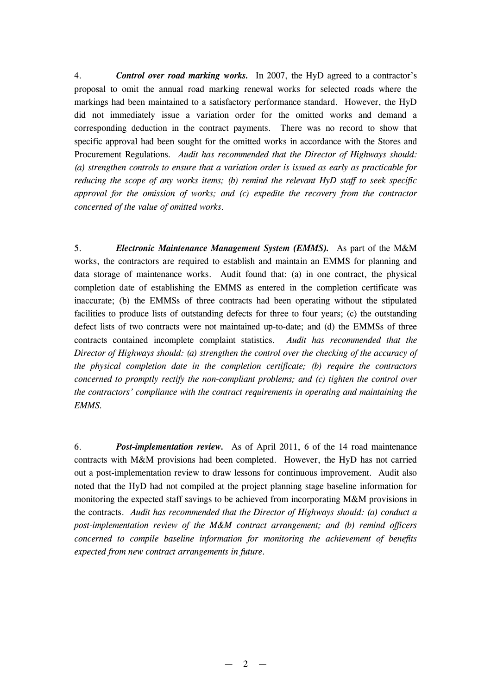4. *Control over road marking works.* In 2007, the HyD agreed to a contractor's proposal to omit the annual road marking renewal works for selected roads where the markings had been maintained to a satisfactory performance standard. However, the HyD did not immediately issue a variation order for the omitted works and demand a corresponding deduction in the contract payments. There was no record to show that specific approval had been sought for the omitted works in accordance with the Stores and Procurement Regulations*. Audit has recommended that the Director of Highways should: (a) strengthen controls to ensure that a variation order is issued as early as practicable for reducing the scope of any works items; (b) remind the relevant HyD staff to seek specific approval for the omission of works; and (c) expedite the recovery from the contractor concerned of the value of omitted works.*

5. *Electronic Maintenance Management System (EMMS).* As part of the M&M works, the contractors are required to establish and maintain an EMMS for planning and data storage of maintenance works. Audit found that: (a) in one contract, the physical completion date of establishing the EMMS as entered in the completion certificate was inaccurate; (b) the EMMSs of three contracts had been operating without the stipulated facilities to produce lists of outstanding defects for three to four years; (c) the outstanding defect lists of two contracts were not maintained up-to-date; and (d) the EMMSs of three contracts contained incomplete complaint statistics. *Audit has recommended that the Director of Highways should: (a) strengthen the control over the checking of the accuracy of the physical completion date in the completion certificate; (b) require the contractors concerned to promptly rectify the non-compliant problems; and (c) tighten the control over the contractors' compliance with the contract requirements in operating and maintaining the EMMS.*

6. *Post-implementation review.* As of April 2011, 6 of the 14 road maintenance contracts with M&M provisions had been completed. However, the HyD has not carried out a post-implementation review to draw lessons for continuous improvement. Audit also noted that the HyD had not compiled at the project planning stage baseline information for monitoring the expected staff savings to be achieved from incorporating M&M provisions in the contracts. *Audit has recommended that the Director of Highways should: (a) conduct a post-implementation review of the M&M contract arrangement; and (b) remind officers concerned to compile baseline information for monitoring the achievement of benefits expected from new contract arrangements in future.*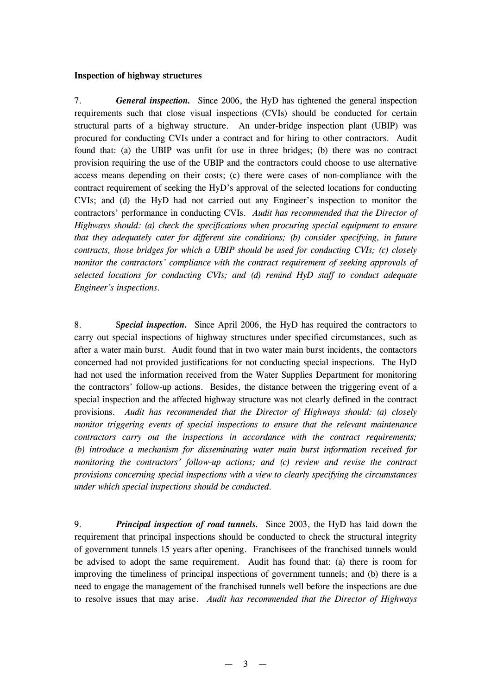#### **Inspection of highway structures**

7. *General inspection.* Since 2006, the HyD has tightened the general inspection requirements such that close visual inspections (CVIs) should be conducted for certain structural parts of a highway structure. An under-bridge inspection plant (UBIP) was procured for conducting CVIs under a contract and for hiring to other contractors. Audit found that: (a) the UBIP was unfit for use in three bridges; (b) there was no contract provision requiring the use of the UBIP and the contractors could choose to use alternative access means depending on their costs; (c) there were cases of non-compliance with the contract requirement of seeking the HyD's approval of the selected locations for conducting CVIs; and (d) the HyD had not carried out any Engineer's inspection to monitor the contractors' performance in conducting CVIs. *Audit has recommended that the Director of Highways should: (a) check the specifications when procuring special equipment to ensure that they adequately cater for different site conditions; (b) consider specifying, in future contracts, those bridges for which a UBIP should be used for conducting CVIs; (c) closely monitor the contractors' compliance with the contract requirement of seeking approvals of selected locations for conducting CVIs; and (d) remind HyD staff to conduct adequate Engineer's inspections.*

8. S*pecial inspection.* Since April 2006, the HyD has required the contractors to carry out special inspections of highway structures under specified circumstances, such as after a water main burst. Audit found that in two water main burst incidents, the contactors concerned had not provided justifications for not conducting special inspections. The HyD had not used the information received from the Water Supplies Department for monitoring the contractors' follow-up actions. Besides, the distance between the triggering event of a special inspection and the affected highway structure was not clearly defined in the contract provisions. *Audit has recommended that the Director of Highways should: (a) closely monitor triggering events of special inspections to ensure that the relevant maintenance contractors carry out the inspections in accordance with the contract requirements; (b) introduce a mechanism for disseminating water main burst information received for monitoring the contractors' follow-up actions; and (c) review and revise the contract provisions concerning special inspections with a view to clearly specifying the circumstances under which special inspections should be conducted.*

9. *Principal inspection of road tunnels.* Since 2003, the HyD has laid down the requirement that principal inspections should be conducted to check the structural integrity of government tunnels 15 years after opening. Franchisees of the franchised tunnels would be advised to adopt the same requirement. Audit has found that: (a) there is room for improving the timeliness of principal inspections of government tunnels; and (b) there is a need to engage the management of the franchised tunnels well before the inspections are due to resolve issues that may arise. *Audit has recommended that the Director of Highways*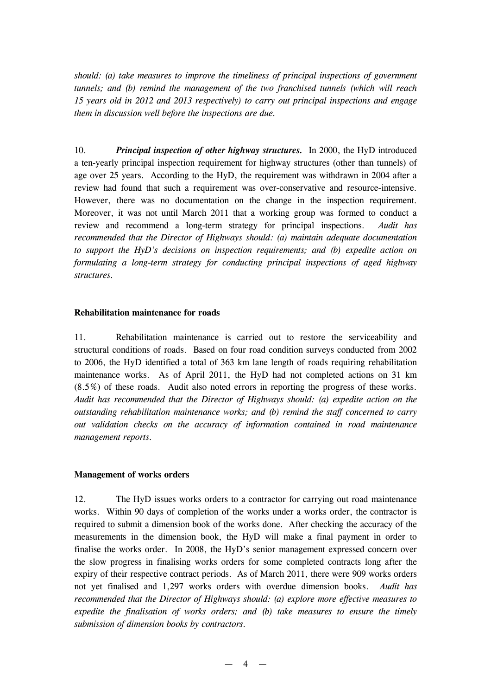*should: (a) take measures to improve the timeliness of principal inspections of government tunnels; and (b) remind the management of the two franchised tunnels (which will reach 15 years old in 2012 and 2013 respectively) to carry out principal inspections and engage them in discussion well before the inspections are due.*

10. *Principal inspection of other highway structures.* In 2000, the HyD introduced a ten-yearly principal inspection requirement for highway structures (other than tunnels) of age over 25 years. According to the HyD, the requirement was withdrawn in 2004 after a review had found that such a requirement was over-conservative and resource-intensive. However, there was no documentation on the change in the inspection requirement. Moreover, it was not until March 2011 that a working group was formed to conduct a review and recommend a long-term strategy for principal inspections. *Audit has recommended that the Director of Highways should: (a) maintain adequate documentation to support the HyD's decisions on inspection requirements; and (b) expedite action on formulating a long-term strategy for conducting principal inspections of aged highway structures.*

#### **Rehabilitation maintenance for roads**

11. Rehabilitation maintenance is carried out to restore the serviceability and structural conditions of roads. Based on four road condition surveys conducted from 2002 to 2006, the HyD identified a total of 363 km lane length of roads requiring rehabilitation maintenance works. As of April 2011, the HyD had not completed actions on 31 km (8.5%) of these roads. Audit also noted errors in reporting the progress of these works. *Audit has recommended that the Director of Highways should: (a) expedite action on the outstanding rehabilitation maintenance works; and (b) remind the staff concerned to carry out validation checks on the accuracy of information contained in road maintenance management reports.*

#### **Management of works orders**

12. The HyD issues works orders to a contractor for carrying out road maintenance works. Within 90 days of completion of the works under a works order, the contractor is required to submit a dimension book of the works done. After checking the accuracy of the measurements in the dimension book, the HyD will make a final payment in order to finalise the works order. In 2008, the HyD's senior management expressed concern over the slow progress in finalising works orders for some completed contracts long after the expiry of their respective contract periods. As of March 2011, there were 909 works orders not yet finalised and 1,297 works orders with overdue dimension books. *Audit has recommended that the Director of Highways should: (a) explore more effective measures to expedite the finalisation of works orders; and (b) take measures to ensure the timely submission of dimension books by contractors.*